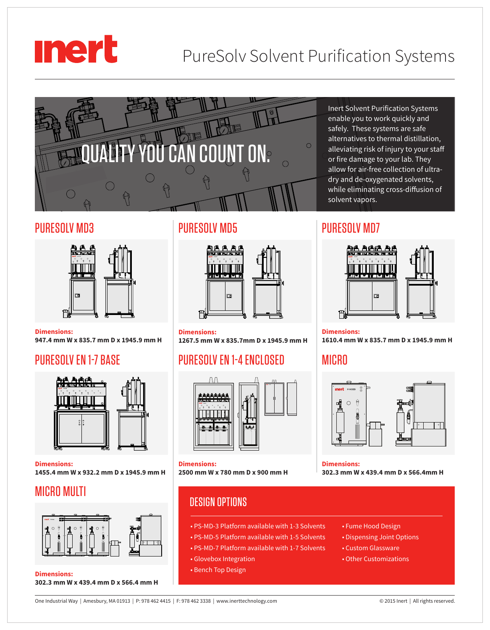# **mert**

## PureSolv Solvent Purification Systems



## PURESOLV MD3



**Dimensions: 947.4 mm W x 835.7 mm D x 1945.9 mm H**

## PURESOLV EN 1-7 BASE



**Dimensions: 1455.4 mm W x 932.2 mm D x 1945.9 mm H**

## MICRO MULTI



**Dimensions: 302.3 mm W x 439.4 mm D x 566.4 mm H**

## PURESOLV MD5



**Dimensions: 1267.5 mm W x 835.7mm D x 1945.9 mm H**

## PURESOLV EN 1-4 ENCLOSED



**Dimensions: 2500 mm W x 780 mm D x 900 mm H**

## DESIGN OPTIONS

- PS-MD-3 Platform available with 1-3 Solvents
- PS-MD-5 Platform available with 1-5 Solvents
- PS-MD-7 Platform available with 1-7 Solvents
- Glovebox Integration
- Bench Top Design

Inert Solvent Purification Systems enable you to work quickly and safely. These systems are safe alternatives to thermal distillation, alleviating risk of injury to your staff or fire damage to your lab. They allow for air-free collection of ultradry and de-oxygenated solvents, while eliminating cross-diffusion of solvent vapors.

## PURESOLV MD7



**Dimensions: 1610.4 mm W x 835.7 mm D x 1945.9 mm H**

## **MICRO**



#### **Dimensions:**

**302.3 mm W x 439.4 mm D x 566.4mm H**

- Fume Hood Design
- Dispensing Joint Options
- Custom Glassware
- Other Customizations

One Industrial Way | Amesbury, MA 01913 | P: 978 462 4415 | F: 978 462 3338 | www.inerttechnology.com © 2015 Inert | All rights reserved.